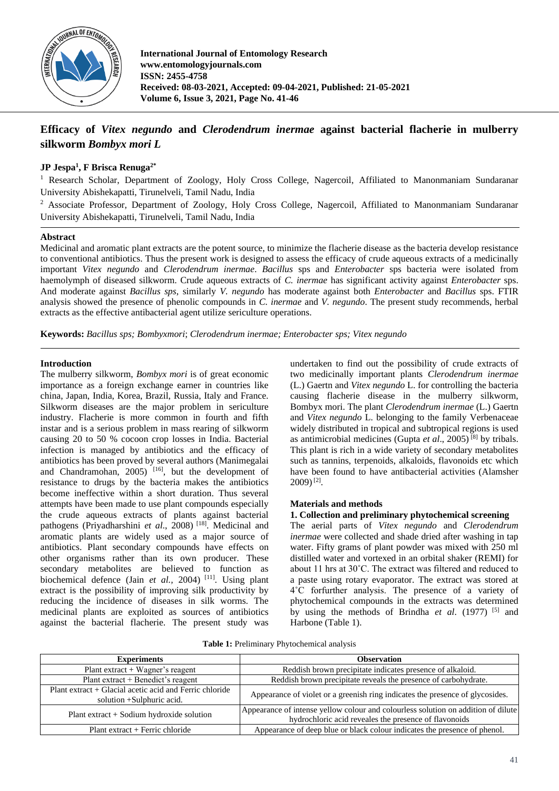

**International Journal of Entomology Research www.entomologyjournals.com ISSN: 2455-4758 Received: 08-03-2021, Accepted: 09-04-2021, Published: 21-05-2021 Volume 6, Issue 3, 2021, Page No. 41-46**

# **Efficacy of** *Vitex negundo* **and** *Clerodendrum inermae* **against bacterial flacherie in mulberry silkworm** *Bombyx mori L*

## **JP Jespa<sup>1</sup> , F Brisca Renuga2\***

<sup>1</sup> Research Scholar, Department of Zoology, Holy Cross College, Nagercoil, Affiliated to Manonmaniam Sundaranar University Abishekapatti, Tirunelveli, Tamil Nadu, India

<sup>2</sup> Associate Professor, Department of Zoology, Holy Cross College, Nagercoil, Affiliated to Manonmaniam Sundaranar University Abishekapatti, Tirunelveli, Tamil Nadu, India

#### **Abstract**

Medicinal and aromatic plant extracts are the potent source, to minimize the flacherie disease as the bacteria develop resistance to conventional antibiotics. Thus the present work is designed to assess the efficacy of crude aqueous extracts of a medicinally important *Vitex negundo* and *Clerodendrum inermae*. *Bacillus* sps and *Enterobacter* sps bacteria were isolated from haemolymph of diseased silkworm. Crude aqueous extracts of *C. inermae* has significant activity against *Enterobacter* sps. And moderate against *Bacillus sps*, similarly *V. negundo* has moderate against both *Enterobacter* and *Bacillus* sps. FTIR analysis showed the presence of phenolic compounds in *C. inermae* and *V. negundo*. The present study recommends, herbal extracts as the effective antibacterial agent utilize sericulture operations.

**Keywords:** *Bacillus sps; Bombyxmori*; *Clerodendrum inermae; Enterobacter sps; Vitex negundo*

## **Introduction**

The mulberry silkworm, *Bombyx mori* is of great economic importance as a foreign exchange earner in countries like china, Japan, India, Korea, Brazil, Russia, Italy and France. Silkworm diseases are the major problem in sericulture industry. Flacherie is more common in fourth and fifth instar and is a serious problem in mass rearing of silkworm causing 20 to 50 % cocoon crop losses in India. Bacterial infection is managed by antibiotics and the efficacy of antibiotics has been proved by several authors (Manimegalai and Chandramohan,  $2005$ )  $[16]$ , but the development of resistance to drugs by the bacteria makes the antibiotics become ineffective within a short duration. Thus several attempts have been made to use plant compounds especially the crude aqueous extracts of plants against bacterial pathogens (Priyadharshini et al., 2008)<sup>[18]</sup>. Medicinal and aromatic plants are widely used as a major source of antibiotics. Plant secondary compounds have effects on other organisms rather than its own producer. These secondary metabolites are believed to function as biochemical defence (Jain *et al.*, 2004)<sup>[11]</sup>. Using plant extract is the possibility of improving silk productivity by reducing the incidence of diseases in silk worms. The medicinal plants are exploited as sources of antibiotics against the bacterial flacherie. The present study was

undertaken to find out the possibility of crude extracts of two medicinally important plants *Clerodendrum inermae*  (L.) Gaertn and *Vitex negundo* L. for controlling the bacteria causing flacherie disease in the mulberry silkworm, Bombyx mori. The plant *Clerodendrum inermae* (L.) Gaertn and *Vitex negundo* L. belonging to the family Verbenaceae widely distributed in tropical and subtropical regions is used as antimicrobial medicines (Gupta *et al*., 2005) [8] by tribals. This plant is rich in a wide variety of secondary metabolites such as tannins, terpenoids, alkaloids, flavonoids etc which have been found to have antibacterial activities (Alamsher 2009)[2] .

#### **Materials and methods**

## **1. Collection and preliminary phytochemical screening**

The aerial parts of *Vitex negundo* and *Clerodendrum inermae* were collected and shade dried after washing in tap water. Fifty grams of plant powder was mixed with 250 ml distilled water and vortexed in an orbital shaker (REMI) for about 11 hrs at 30˚C. The extract was filtered and reduced to a paste using rotary evaporator. The extract was stored at 4˚C forfurther analysis. The presence of a variety of phytochemical compounds in the extracts was determined by using the methods of Brindha *et al.* (1977)<sup>[5]</sup> and Harbone (Table 1).

|  |  |  | Table 1: Preliminary Phytochemical analysis |  |
|--|--|--|---------------------------------------------|--|
|--|--|--|---------------------------------------------|--|

| <b>Experiments</b>                                                                   | <b>Observation</b>                                                                                                                         |  |  |
|--------------------------------------------------------------------------------------|--------------------------------------------------------------------------------------------------------------------------------------------|--|--|
| Plant extract $+$ Wagner's reagent                                                   | Reddish brown precipitate indicates presence of alkaloid.                                                                                  |  |  |
| Plant extract + Benedict's reagent                                                   | Reddish brown precipitate reveals the presence of carbohydrate.                                                                            |  |  |
| Plant extract + Glacial acetic acid and Ferric chloride<br>solution +Sulphuric acid. | Appearance of violet or a greenish ring indicates the presence of glycosides.                                                              |  |  |
| Plant extract $+$ Sodium hydroxide solution                                          | Appearance of intense yellow colour and colourless solution on addition of dilute<br>hydrochloric acid reveales the presence of flavonoids |  |  |
| Plant extract + Ferric chloride                                                      | Appearance of deep blue or black colour indicates the presence of phenol.                                                                  |  |  |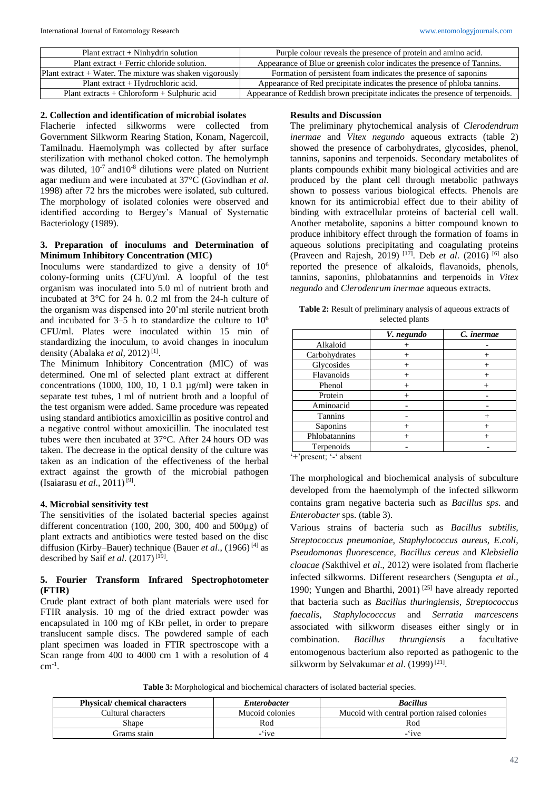| Plant extract $+$ Ninhydrin solution                       | Purple colour reveals the presence of protein and amino acid.                 |
|------------------------------------------------------------|-------------------------------------------------------------------------------|
| Plant extract + Ferric chloride solution.                  | Appearance of Blue or greenish color indicates the presence of Tannins.       |
| Plant extract $+$ Water. The mixture was shaken vigorously | Formation of persistent foam indicates the presence of saponing               |
| Plant extract + Hydrochloric acid.                         | Appearance of Red precipitate indicates the presence of phloba tannins.       |
| Plant extracts + Chloroform + Sulphuric acid               | Appearance of Reddish brown precipitate indicates the presence of terpenoids. |

#### **2. Collection and identification of microbial isolates**

Flacherie infected silkworms were collected from Government Silkworm Rearing Station, Konam, Nagercoil, Tamilnadu. Haemolymph was collected by after surface sterilization with methanol choked cotton. The hemolymph was diluted,  $10^{-7}$  and  $10^{-8}$  dilutions were plated on Nutrient agar medium and were incubated at 37°C (Govindhan *et al*. 1998) after 72 hrs the microbes were isolated, sub cultured. The morphology of isolated colonies were observed and identified according to Bergey's Manual of Systematic Bacteriology (1989).

#### **3. Preparation of inoculums and Determination of Minimum Inhibitory Concentration (MIC)**

Inoculums were standardized to give a density of 10<sup>6</sup> colony-forming units (CFU)/ml. A loopful of the test organism was inoculated into 5.0 ml of nutrient broth and incubated at 3°C for 24 h. 0.2 ml from the 24-h culture of the organism was dispensed into 20˚ml sterile nutrient broth and incubated for  $3-5$  h to standardize the culture to  $10<sup>6</sup>$ CFU/ml. Plates were inoculated within 15 min of standardizing the inoculum, to avoid changes in inoculum density (Abalaka et al, 2012)<sup>[1]</sup>.

The Minimum Inhibitory Concentration (MIC) of was determined. One ml of selected plant extract at different concentrations (1000, 100, 10, 1 0.1  $\mu$ g/ml) were taken in separate test tubes, 1 ml of nutrient broth and a loopful of the test organism were added. Same procedure was repeated using standard antibiotics amoxicillin as positive control and a negative control without amoxicillin. The inoculated test tubes were then incubated at 37°C. After 24 hours OD was taken. The decrease in the optical density of the culture was taken as an indication of the effectiveness of the herbal extract against the growth of the microbial pathogen (Isaiarasu *et al.*, 2011)<sup>[9]</sup>.

## **4. Microbial sensitivity test**

The sensitivities of the isolated bacterial species against different concentration (100, 200, 300, 400 and 500µg) of plant extracts and antibiotics were tested based on the disc diffusion (Kirby–Bauer) technique (Bauer *et al*., (1966) [4] as described by Saif et al. (2017)<sup>[19]</sup>.

## **5. Fourier Transform Infrared Spectrophotometer (FTIR)**

Crude plant extract of both plant materials were used for FTIR analysis. 10 mg of the dried extract powder was encapsulated in 100 mg of KBr pellet, in order to prepare translucent sample discs. The powdered sample of each plant specimen was loaded in FTIR spectroscope with a Scan range from 400 to 4000 cm 1 with a resolution of 4  $cm^{-1}$ .

#### **Results and Discussion**

The preliminary phytochemical analysis of *Clerodendrum inermae* and *Vitex negundo* aqueous extracts (table 2) showed the presence of carbohydrates, glycosides, phenol, tannins, saponins and terpenoids. Secondary metabolites of plants compounds exhibit many biological activities and are produced by the plant cell through metabolic pathways shown to possess various biological effects. Phenols are known for its antimicrobial effect due to their ability of binding with extracellular proteins of bacterial cell wall. Another metabolite, saponins a bitter compound known to produce inhibitory effect through the formation of foams in aqueous solutions precipitating and coagulating proteins (Praveen and Rajesh, 2019) [17] . Deb *et al*. (2016) [6] also reported the presence of alkaloids, flavanoids, phenols, tannins, saponins, phlobatannins and terpenoids in *Vitex negundo* and *Clerodenrum inermae* aqueous extracts.

**Table 2:** Result of preliminary analysis of aqueous extracts of selected plants

|               | V. negundo | C. inermae |
|---------------|------------|------------|
| Alkaloid      |            |            |
| Carbohydrates |            |            |
| Glycosides    |            |            |
| Flavanoids    |            |            |
| Phenol        |            |            |
| Protein       |            |            |
| Aminoacid     |            |            |
| Tannins       |            |            |
| Saponins      |            |            |
| Phlobatannins |            |            |
| Terpenoids    |            |            |

'+'present; '-' absent

The morphological and biochemical analysis of subculture developed from the haemolymph of the infected silkworm contains gram negative bacteria such as *Bacillus sps*. and *Enterobacter* sps. (table 3).

Various strains of bacteria such as *Bacillus subtilis, Streptococcus pneumoniae, Staphylococcus aureus, E.coli, Pseudomonas fluorescence, Bacillus cereus* and *Klebsiella cloacae (*Sakthivel *et al*., 2012) were isolated from flacherie infected silkworms. Different researchers (Sengupta *et al*., 1990; Yungen and Bharthi, 2001) [25] have already reported that bacteria such as *Bacillus thuringiensis*, *Streptococcus faecalis*, *Staphylococccus* and *Serratia marcescens* associated with silkworm diseases either singly or in combination. *Bacillus thrungiensis* a facultative entomogenous bacterium also reported as pathogenic to the silkworm by Selvakumar et al. (1999)<sup>[21]</sup>.

**Table 3:** Morphological and biochemical characters of isolated bacterial species.

| <b>Physical/ chemical characters</b> | <i>Enterobacter</i> | <b>Bacillus</b>                             |  |
|--------------------------------------|---------------------|---------------------------------------------|--|
| Cultural characters                  | Mucoid colonies     | Mucoid with central portion raised colonies |  |
| Shane                                | Rod                 | Rod                                         |  |
| Frams stain                          | $-1$ ve             | $-1$ ve                                     |  |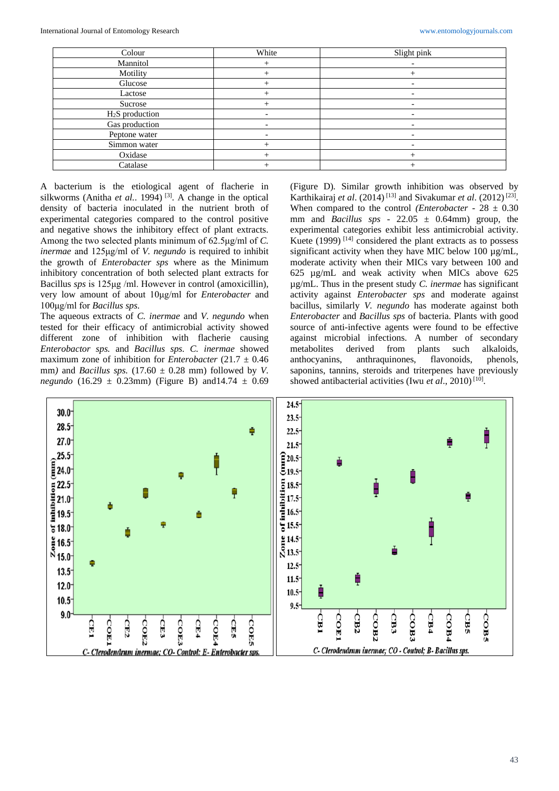| Colour                      | White | Slight pink              |
|-----------------------------|-------|--------------------------|
| Mannitol                    |       |                          |
| Motility                    |       |                          |
| Glucose                     |       |                          |
| Lactose                     |       | $\overline{\phantom{0}}$ |
| Sucrose                     |       | $\overline{\phantom{0}}$ |
| H <sub>2</sub> S production |       | $\overline{\phantom{0}}$ |
| Gas production              |       |                          |
| Peptone water               |       | -                        |
| Simmon water                |       | -                        |
| Oxidase                     |       |                          |
| Catalase                    |       |                          |

A bacterium is the etiological agent of flacherie in silkworms (Anitha *et al.*. 1994)<sup>[3]</sup>. A change in the optical density of bacteria inoculated in the nutrient broth of experimental categories compared to the control positive and negative shows the inhibitory effect of plant extracts. Among the two selected plants minimum of 62.5μg/ml of *C. inermae* and 125μg/ml of *V. negundo* is required to inhibit the growth of *Enterobacter sps* where as the Minimum inhibitory concentration of both selected plant extracts for Bacillus *sps* is 125μg /ml. However in control (amoxicillin), very low amount of about 10μg/ml for *Enterobacter* and 100μg/ml for *Bacillus sps.*

The aqueous extracts of *C. inermae* and *V. negundo* when tested for their efficacy of antimicrobial activity showed different zone of inhibition with flacherie causing *Enterobactor sps.* and *Bacillus sps. C. inermae* showed maximum zone of inhibition for *Enterobacter* (21.7  $\pm$  0.46 mm) and *Bacillus sps.* (17.60  $\pm$  0.28 mm) followed by *V*. *negundo* (16.29 ± 0.23mm) (Figure B) and14.74 ± 0.69

(Figure D)*.* Similar growth inhibition was observed by Karthikairaj *et al.* (2014)<sup>[13]</sup> and Sivakumar *et al.* (2012)<sup>[23]</sup>. When compared to the control *(Enterobacter - 28*  $\pm$  *0.30)* mm and *Bacillus sps* - 22.05  $\pm$  0.64mm) group, the experimental categories exhibit less antimicrobial activity. Kuete  $(1999)$ <sup>[14]</sup> considered the plant extracts as to possess significant activity when they have MIC below 100 µg/mL, moderate activity when their MICs vary between 100 and 625 µg/mL and weak activity when MICs above 625 µg/mL. Thus in the present study *C. inermae* has significant activity against *Enterobacter sps* and moderate against bacillus, similarly *V. negundo* has moderate against both *Enterobacter* and *Bacillus sps* of bacteria. Plants with good source of anti-infective agents were found to be effective against microbial infections. A number of secondary metabolites derived from plants such alkaloids, anthocyanins, anthraquinones, flavonoids, phenols, saponins, tannins, steroids and triterpenes have previously showed antibacterial activities (Iwu et al., 2010)<sup>[10]</sup>.

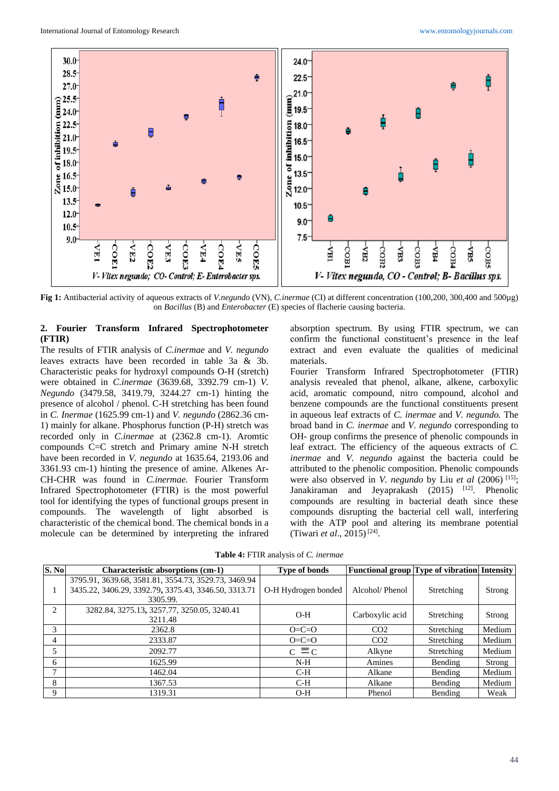

**Fig 1:** Antibacterial activity of aqueous extracts of *V.negundo* (VN), *C.inermae* (CI) at different concentration (100,200, 300,400 and 500µg) on *Bacillus* (B) and *Enterobacter* (E) species of flacherie causing bacteria.

## **2. Fourier Transform Infrared Spectrophotometer (FTIR)**

The results of FTIR analysis of *C.inermae* and *V. negundo* leaves extracts have been recorded in table 3a & 3b. Characteristic peaks for hydroxyl compounds O-H (stretch) were obtained in *C.inermae* (3639.68, 3392.79 cm-1) *V. Negundo* (3479.58, 3419.79, 3244.27 cm-1) hinting the presence of alcohol / phenol. C-H stretching has been found in *C. Inermae* (1625.99 cm-1) and *V. negundo* (2862.36 cm-1) mainly for alkane. Phosphorus function (P-H) stretch was recorded only in *C.inermae* at (2362.8 cm-1). Aromtic compounds C=C stretch and Primary amine N-H stretch have been recorded in *V. negundo* at 1635.64, 2193.06 and 3361.93 cm-1) hinting the presence of amine. Alkenes Ar-CH-CHR was found in *C.inermae.* Fourier Transform Infrared Spectrophotometer (FTIR) is the most powerful tool for identifying the types of functional groups present in compounds. The wavelength of light absorbed is characteristic of the chemical bond. The chemical bonds in a molecule can be determined by interpreting the infrared

absorption spectrum. By using FTIR spectrum, we can confirm the functional constituent's presence in the leaf extract and even evaluate the qualities of medicinal materials.

Fourier Transform Infrared Spectrophotometer (FTIR) analysis revealed that phenol, alkane, alkene, carboxylic acid, aromatic compound, nitro compound, alcohol and benzene compounds are the functional constituents present in aqueous leaf extracts of *C. inermae* and *V. negundo.* The broad band in *C. inermae* and *V. negundo* corresponding to OH- group confirms the presence of phenolic compounds in leaf extract. The efficiency of the aqueous extracts of *C. inermae* and *V. negundo* against the bacteria could be attributed to the phenolic composition. Phenolic compounds were also observed in *V. negundo* by Liu *et al* (2006)<sup>[15]</sup>; Janakiraman and Jeyaprakash (2015) <sup>[12]</sup>. Phenolic compounds are resulting in bacterial death since these compounds disrupting the bacterial cell wall, interfering with the ATP pool and altering its membrane potential (Tiwari et al., 2015)<sup>[24]</sup>.

**Table 4:** FTIR analysis of *C. inermae*

| S. No         | <b>Characteristic absorptions (cm-1)</b>                                                                                 | <b>Type of bonds</b> |                 | <b>Functional group Type of vibration Intensity</b> |        |
|---------------|--------------------------------------------------------------------------------------------------------------------------|----------------------|-----------------|-----------------------------------------------------|--------|
| 1             | 3795.91, 3639.68, 3581.81, 3554.73, 3529.73, 3469.94<br>3435.22, 3406.29, 3392.79, 3375.43, 3346.50, 3313.71<br>3305.99. | O-H Hydrogen bonded  | Alcohol/Phenol  | Stretching                                          | Strong |
| $\mathcal{L}$ | 3282.84, 3275.13, 3257.77, 3250.05, 3240.41<br>3211.48                                                                   | $O-H$                | Carboxylic acid | Stretching                                          | Strong |
| 3             | 2362.8                                                                                                                   | $O=C=O$              | CO <sub>2</sub> | Stretching                                          | Medium |
| 4             | 2333.87                                                                                                                  | $O=C=O$              | CO <sub>2</sub> | Stretching                                          | Medium |
| 5             | 2092.77                                                                                                                  | $c \equiv c$         | Alkyne          | Stretching                                          | Medium |
| 6             | 1625.99                                                                                                                  | $N-H$                | Amines          | Bending                                             | Strong |
| 7             | 1462.04                                                                                                                  | $C-H$                | Alkane          | Bending                                             | Medium |
| 8             | 1367.53                                                                                                                  | $C-H$                | Alkane          | Bending                                             | Medium |
| 9             | 1319.31                                                                                                                  | $O-H$                | Phenol          | Bending                                             | Weak   |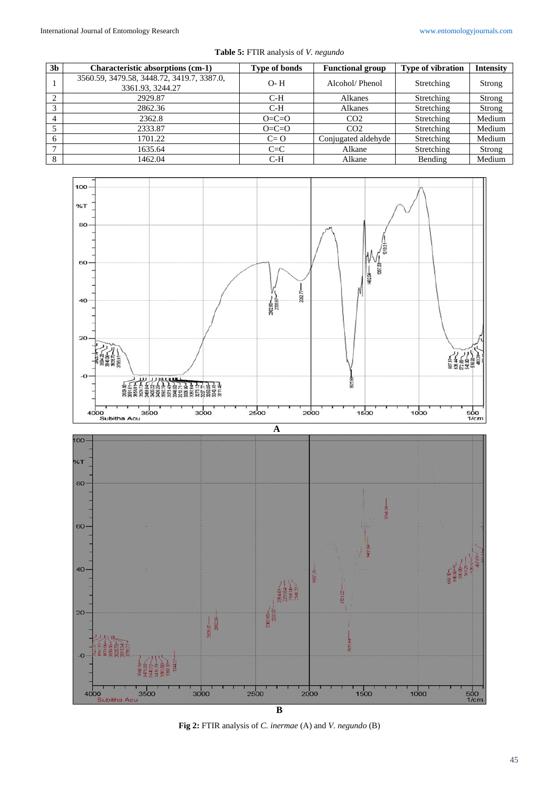| 3 <sub>b</sub> | <b>Characteristic absorptions (cm-1)</b>                       | <b>Type of bonds</b> | <b>Functional group</b> | Type of vibration | <b>Intensity</b> |
|----------------|----------------------------------------------------------------|----------------------|-------------------------|-------------------|------------------|
|                | 3560.59, 3479.58, 3448.72, 3419.7, 3387.0,<br>3361.93, 3244.27 | $O - H$              | Alcohol/Phenol          | Stretching        | Strong           |
| $\bigcap$      | 2929.87                                                        | $C-H$                | Alkanes                 | Stretching        | Strong           |
| 3              | 2862.36                                                        | $C-H$                | Alkanes                 | Stretching        | Strong           |
|                | 2362.8                                                         | $O=C=O$              | CO <sub>2</sub>         | Stretching        | Medium           |
|                | 2333.87                                                        | $O=C=O$              | CO <sub>2</sub>         | Stretching        | Medium           |
| 6              | 1701.22                                                        | $C = 0$              | Conjugated aldehyde     | Stretching        | Medium           |
| $\mathbf{r}$   | 1635.64                                                        | $C=C$                | Alkane                  | Stretching        | Strong           |
| 8              | 1462.04                                                        | C-H                  | Alkane                  | Bending           | Medium           |

**Table 5:** FTIR analysis of *V. negundo*



**B Fig 2:** FTIR analysis of *C. inermae* (A) and *V. negundo* (B)

 $\frac{1}{1/c}$